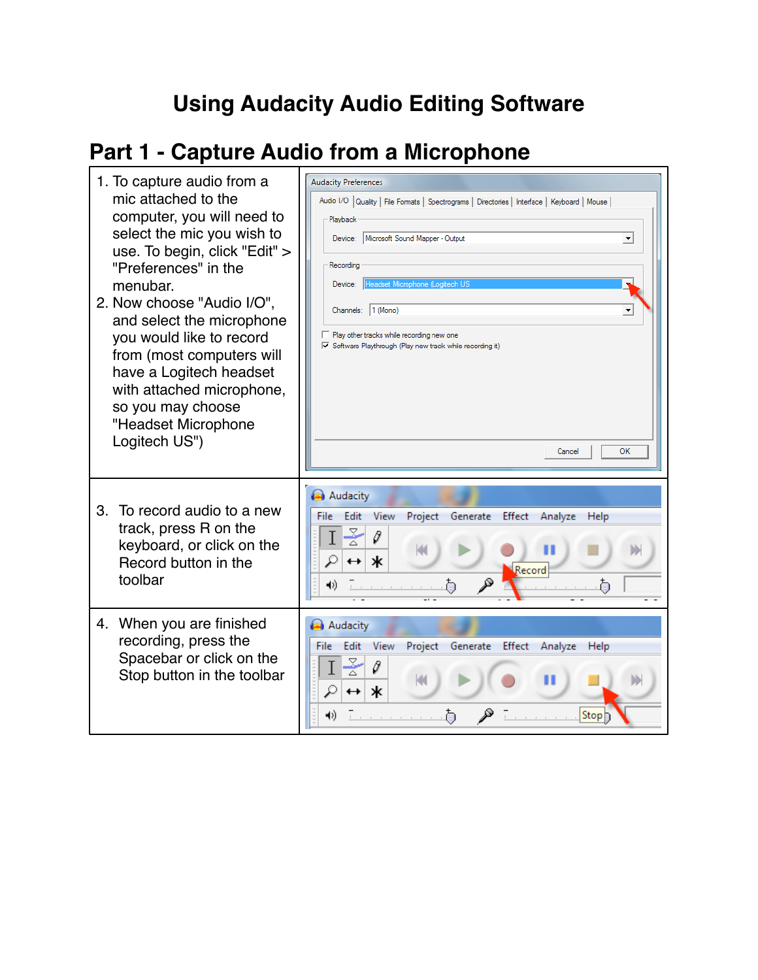## **Using Audacity Audio Editing Software**

h

# **Part 1 - Capture Audio from a Microphone**

| 1. To capture audio from a<br>mic attached to the<br>computer, you will need to<br>select the mic you wish to<br>use. To begin, click "Edit" ><br>"Preferences" in the<br>menubar.<br>2. Now choose "Audio I/O",<br>and select the microphone<br>you would like to record<br>from (most computers will<br>have a Logitech headset<br>with attached microphone,<br>so you may choose<br>"Headset Microphone<br>Logitech US") | <b>Audacity Preferences</b><br>Audio I/O   Quality   File Formats   Spectrograms   Directories   Interface   Keyboard   Mouse  <br>Playback<br>Device: Microsoft Sound Mapper - Output<br>$\blacktriangledown$<br>Recording<br>Headset Microphone (Logitech US<br>Device:<br>Channels: 1 (Mono)<br>Play other tracks while recording new one<br>√ Software Playthrough (Play new track while recording it)<br>OK<br>Cancel |
|-----------------------------------------------------------------------------------------------------------------------------------------------------------------------------------------------------------------------------------------------------------------------------------------------------------------------------------------------------------------------------------------------------------------------------|----------------------------------------------------------------------------------------------------------------------------------------------------------------------------------------------------------------------------------------------------------------------------------------------------------------------------------------------------------------------------------------------------------------------------|
| 3. To record audio to a new<br>track, press R on the<br>keyboard, or click on the<br>Record button in the<br>toolbar                                                                                                                                                                                                                                                                                                        | Audacity<br>File<br>Edit<br>View<br>Project Generate Effect<br>Analyze<br>Help<br>ķ<br>0<br>ж<br>Record<br>4))<br>Ò                                                                                                                                                                                                                                                                                                        |
| 4. When you are finished<br>recording, press the<br>Spacebar or click on the<br>Stop button in the toolbar                                                                                                                                                                                                                                                                                                                  | Audacity<br>Edit<br><b>View</b><br>Project Generate Effect Analyze<br>File:<br>Help<br>ж<br>↔<br>Stop<br>1)                                                                                                                                                                                                                                                                                                                |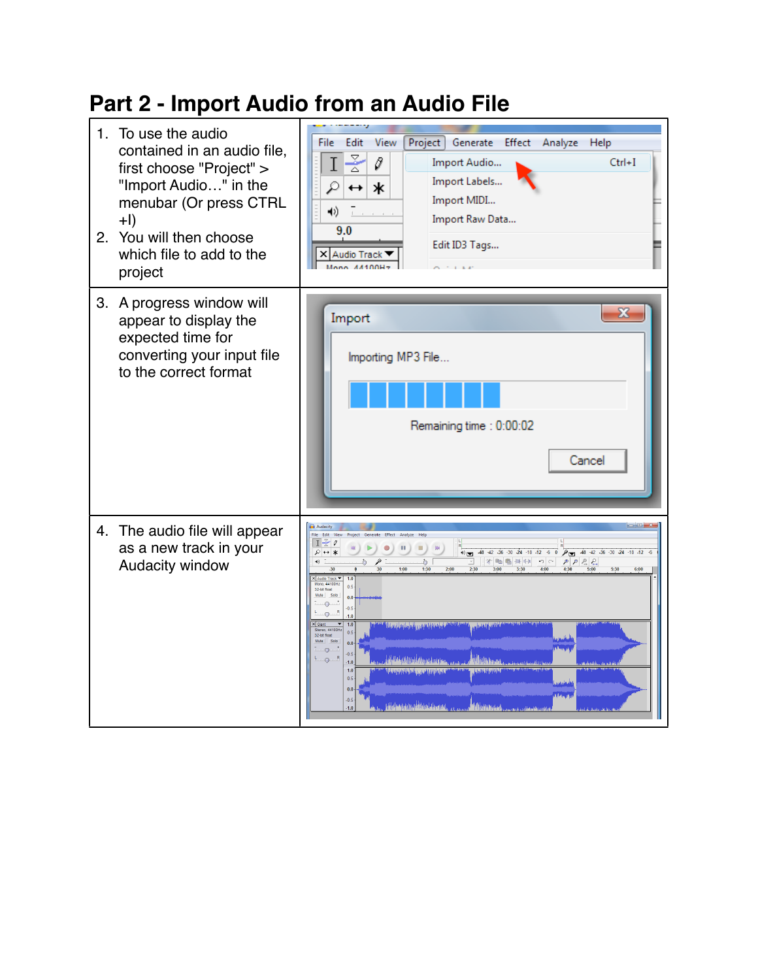### **Part 2 - Import Audio from an Audio File**

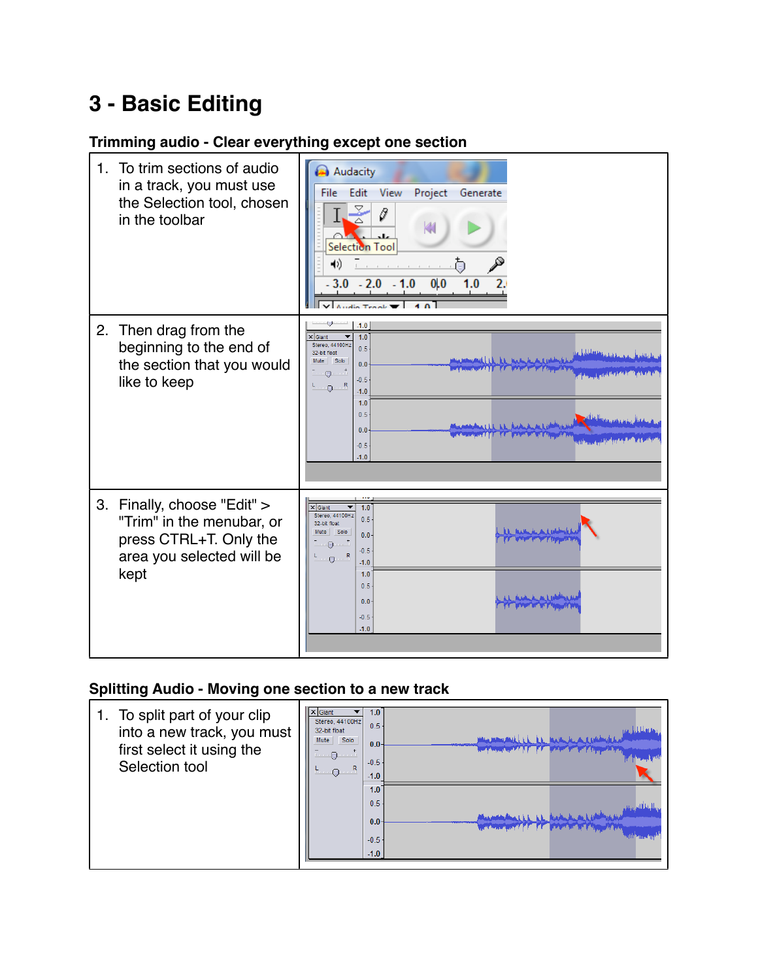### **3 - Basic Editing**

#### **Trimming audio - Clear everything except one section**



#### **Splitting Audio - Moving one section to a new track**

| 1. To split part of your clip<br>into a new track, you must<br>first select it using the<br>Selection tool | $\times$ Giant<br>1.0<br>Stereo, 44100Hz<br>0.5<br>32-bit float<br>Solo<br>Mute<br>$0.0 -$<br>பட்டு படப்<br>$-0.5$<br>$F \oplus R$<br>$-1.0$<br>1.0<br>0.5<br>0.0 <sub>1</sub><br>$-0.5$<br>$-1.0$ | <b>THE EULER LAN</b><br>this include to an included<br>the Company of the Company of the Company of the Company of<br><b>Contraction of the Contraction of Lands</b> |
|------------------------------------------------------------------------------------------------------------|----------------------------------------------------------------------------------------------------------------------------------------------------------------------------------------------------|----------------------------------------------------------------------------------------------------------------------------------------------------------------------|
|                                                                                                            |                                                                                                                                                                                                    |                                                                                                                                                                      |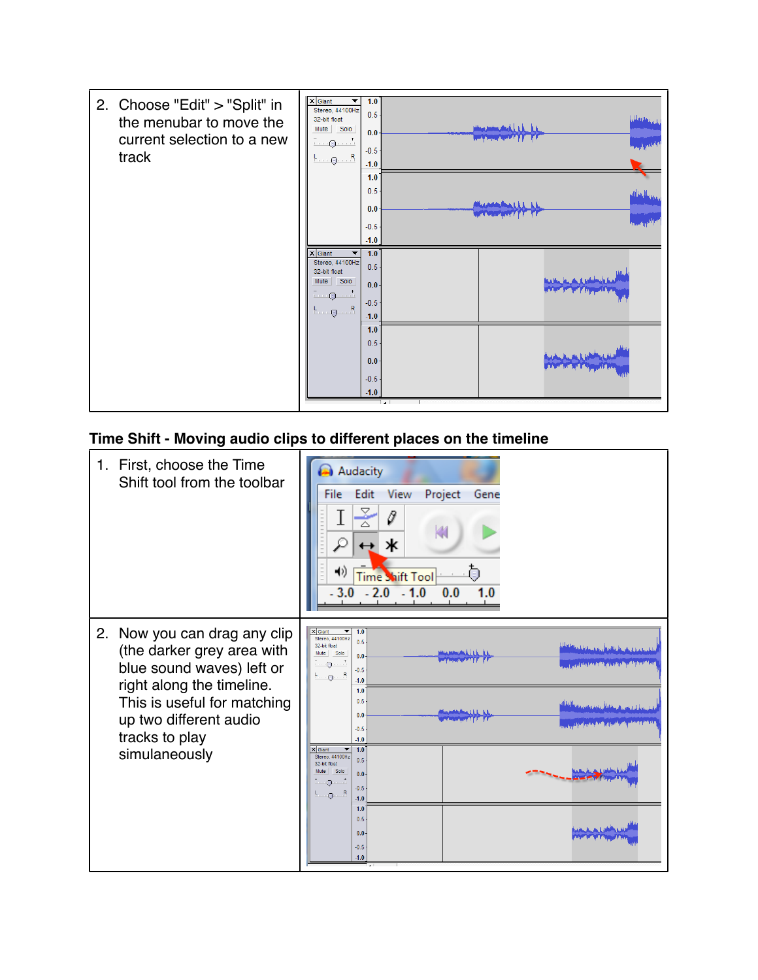

#### **Time Shift - Moving audio clips to different places on the timeline**

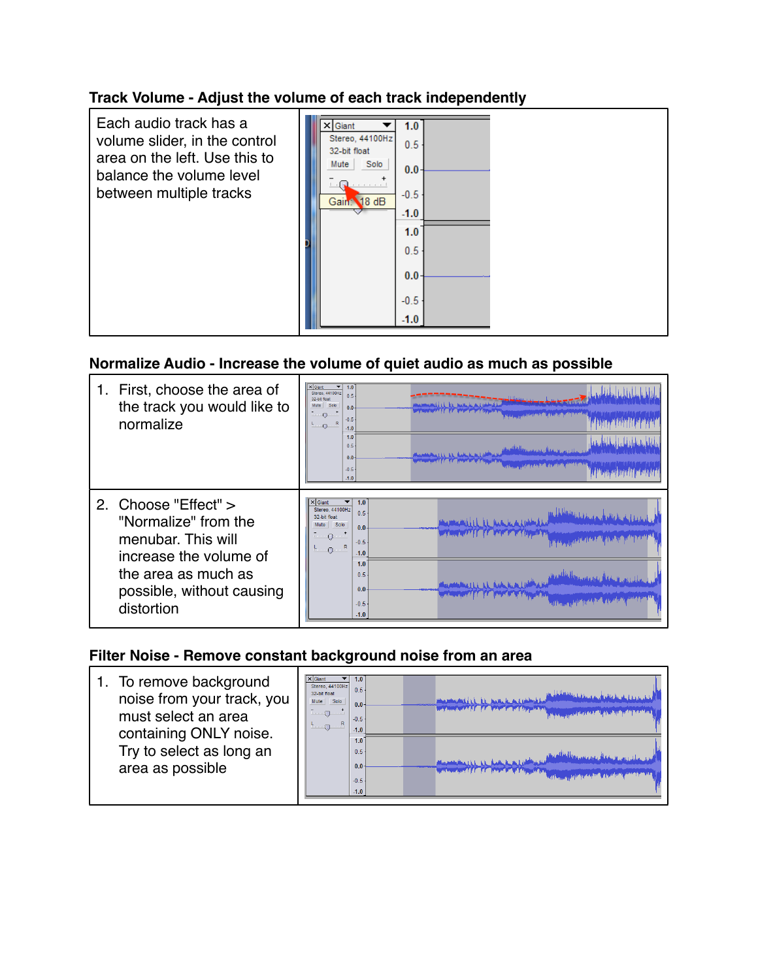#### **Track Volume - Adjust the volume of each track independently**

| Each audio track has a<br>volume slider, in the control<br>area on the left. Use this to<br>balance the volume level<br>between multiple tracks | $\times$ Giant<br>1.0<br>Stereo, 44100Hz<br>0.5<br>32-bit float<br>Solo<br>Mute<br>$0.0 -$ |
|-------------------------------------------------------------------------------------------------------------------------------------------------|--------------------------------------------------------------------------------------------|
|                                                                                                                                                 | Reference to the first<br>$-0.5$<br>Gain: 18 dB<br>$-1.0$<br>1.0<br>0.5                    |
|                                                                                                                                                 | $0.0 -$<br>$-0.5$<br>$-1.0$                                                                |

#### **Normalize Audio - Increase the volume of quiet audio as much as possible**

| First, choose the area of<br>the track you would like to<br>normalize                                                                                          | $x$ Giant<br>1.0<br>Stereo, 44100Hz<br>0.5<br>32-bit float<br>Mute<br>Solo<br>0.0 <sub>1</sub><br>$\Box$<br>$-0.5$<br>R<br>$\circ$<br>$-1.0$<br>1.0<br>تعليلها منابعة واتقال والأمعام لعلمهم<br>0.5<br>0.0 <sub>1</sub><br>$-0.5$<br>$-1.0$  |
|----------------------------------------------------------------------------------------------------------------------------------------------------------------|----------------------------------------------------------------------------------------------------------------------------------------------------------------------------------------------------------------------------------------------|
| 2. Choose "Effect" ><br>"Normalize" from the<br>menubar. This will<br>increase the volume of<br>the area as much as<br>possible, without causing<br>distortion | 1.0<br>$\times$ Giant<br>Stereo 44100Hz<br>0.5<br>32-bit float<br>Solo<br>Mute<br>0.0 <sub>1</sub><br>كالمتلوط والمتعارض<br>$\blacksquare$<br>$-0.5$<br>$\mathbb{R}$<br>$ -$<br>$-1.0$<br>1.0<br>0.5<br>0.0 <sub>1</sub><br>$-0.5$<br>$-1.0$ |

### **Filter Noise - Remove constant background noise from an area**

| To remove background<br>noise from your track, you<br>must select an area<br>containing ONLY noise. | XGiant<br>Stereo, 44100Hz<br>0.5<br>32-bit float<br>Mute Solo<br>0.0<br>$\Theta$<br>$-0.5$<br>R<br>$\Theta$<br>$-1.0$ | and more way if the asset and of the proper                                                                    |
|-----------------------------------------------------------------------------------------------------|-----------------------------------------------------------------------------------------------------------------------|----------------------------------------------------------------------------------------------------------------|
| Try to select as long an<br>area as possible                                                        | 1.0<br>0.5<br>0.0<br>$-0.5 -$<br>$-1.0$                                                                               | the comment of the first state of the first of the first state of the comment of the comment of the comment of |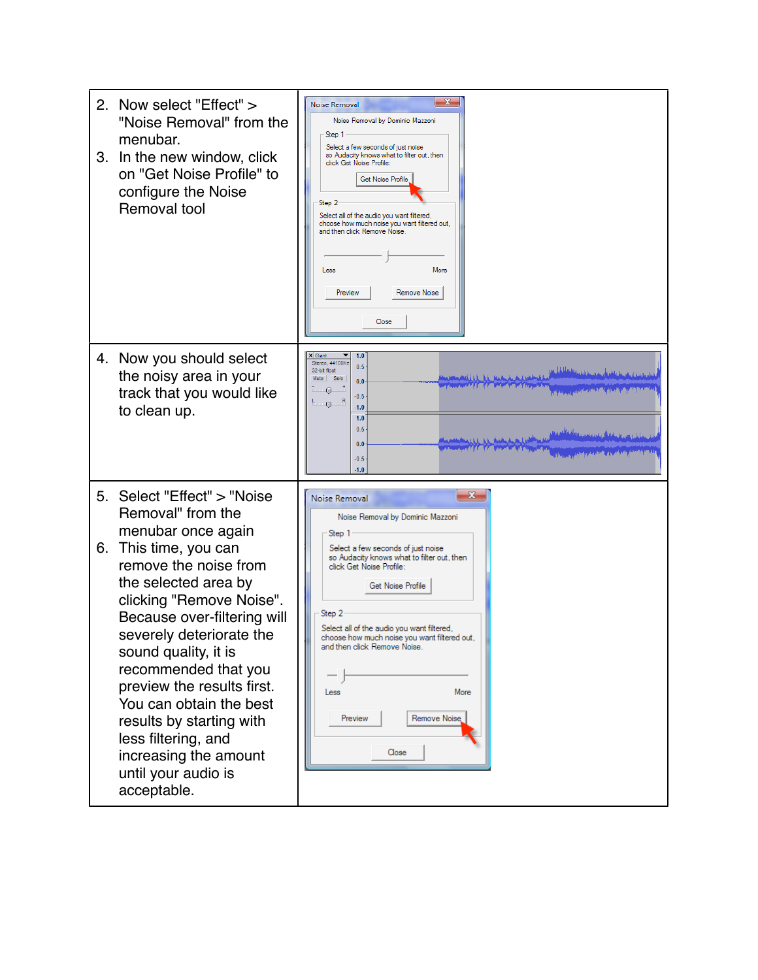| 2. Now select "Effect" ><br>"Noise Removal" from the<br>menubar.<br>3. In the new window, click<br>on "Get Noise Profile" to<br>configure the Noise<br>Removal tool                                                                                                                                                                                                                                                                                                   | $\mathbf{x}$<br>Noise Removal<br>Noise Removal by Dominic Mazzoni<br>Step 1<br>Select a few seconds of just noise<br>so Audacity knows what to filter out, then<br>click Get Noise Profile:<br><b>Get Noise Profile</b><br>Step 2<br>Select all of the audio you want filtered,<br>choose how much noise you want filtered out,<br>and then click Remove Noise.<br>Less<br>More<br>Preview<br>Remove Noise<br>Close                                                                                                                                                                              |
|-----------------------------------------------------------------------------------------------------------------------------------------------------------------------------------------------------------------------------------------------------------------------------------------------------------------------------------------------------------------------------------------------------------------------------------------------------------------------|--------------------------------------------------------------------------------------------------------------------------------------------------------------------------------------------------------------------------------------------------------------------------------------------------------------------------------------------------------------------------------------------------------------------------------------------------------------------------------------------------------------------------------------------------------------------------------------------------|
| 4. Now you should select<br>the noisy area in your<br>track that you would like<br>to clean up.                                                                                                                                                                                                                                                                                                                                                                       | < Giant<br>1.0<br>Stereo, 44100Hz<br>0.5<br>32-bit float<br>م اول المعنى في المعنى عمل المعنى أول معنى المعنى المعنى المعنى المعنى المعنى المعنى المعنى المعنى ال<br>مختلس القارب از الراق المخالسات كريا ويشاديه به<br>Mute Solo<br>0.0 <sub>1</sub><br><b>RECEIVED THE CONTRACT OF A STATE AND A</b><br>$ -$<br>عملكم هيئ تفاتين كرياه بحق بالشقية فكالعائلة لتسريح برحمه<br>$-0.5$<br>Ц.,<br>$Q$ R<br>$-1.0$<br>1.0<br>0.5<br>بالمعايلين وهمية والمقياة ويعرفون ويعالمناك<br>marked LL LL Aughte K. as I will be<br>0.0<br>براناسها في بالتنبية كان تعاقلون بن بروج ويرود<br>$-0.5$<br>$-1.0$ |
| 5. Select "Effect" > "Noise<br>Removal" from the<br>menubar once again<br>This time, you can<br>6.<br>remove the noise from<br>the selected area by<br>clicking "Remove Noise".<br>Because over-filtering will<br>severely deteriorate the<br>sound quality, it is<br>recommended that you<br>preview the results first.<br>You can obtain the best<br>results by starting with<br>less filtering, and<br>increasing the amount<br>until your audio is<br>acceptable. | $\mathbf{x}$<br>Noise Removal<br>Noise Removal by Dominic Mazzoni<br>Step 1<br>Select a few seconds of just noise<br>so Audacity knows what to filter out, then<br>click Get Noise Profile:<br><b>Get Noise Profile</b><br>Step 2<br>Select all of the audio you want filtered,<br>choose how much noise you want filtered out,<br>and then click Hemove Noise<br>Less<br>More<br>Remove Noise<br>Preview<br>Close                                                                                                                                                                               |